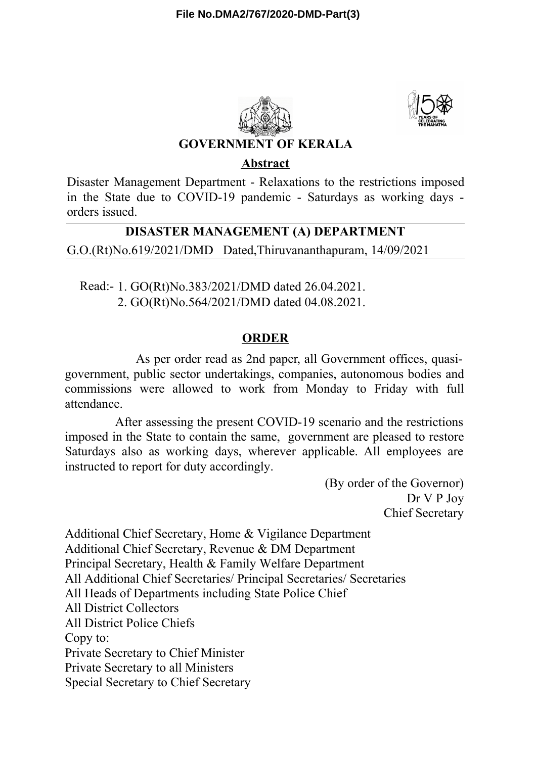



### **GOVERNMENT OF KERALA**

#### **Abstract**

Disaster Management Department - Relaxations to the restrictions imposed in the State due to COVID-19 pandemic - Saturdays as working days orders issued.

# **DISASTER MANAGEMENT (A) DEPARTMENT**

G.O.(Rt)No.619/2021/DMD Dated,Thiruvananthapuram, 14/09/2021

Read:- 1. GO(Rt)No.383/2021/DMD dated 26.04.2021. 2. GO(Rt)No.564/2021/DMD dated 04.08.2021.

# **ORDER**

As per order read as 2nd paper, all Government offices, quasigovernment, public sector undertakings, companies, autonomous bodies and commissions were allowed to work from Monday to Friday with full attendance.

After assessing the present COVID-19 scenario and the restrictions imposed in the State to contain the same, government are pleased to restore Saturdays also as working days, wherever applicable. All employees are instructed to report for duty accordingly.

> (By order of the Governor) Dr V P Joy Chief Secretary

Additional Chief Secretary, Home & Vigilance Department Additional Chief Secretary, Revenue & DM Department Principal Secretary, Health & Family Welfare Department All Additional Chief Secretaries/ Principal Secretaries/ Secretaries All Heads of Departments including State Police Chief All District Collectors All District Police Chiefs Copy to: Private Secretary to Chief Minister Private Secretary to all Ministers Special Secretary to Chief Secretary